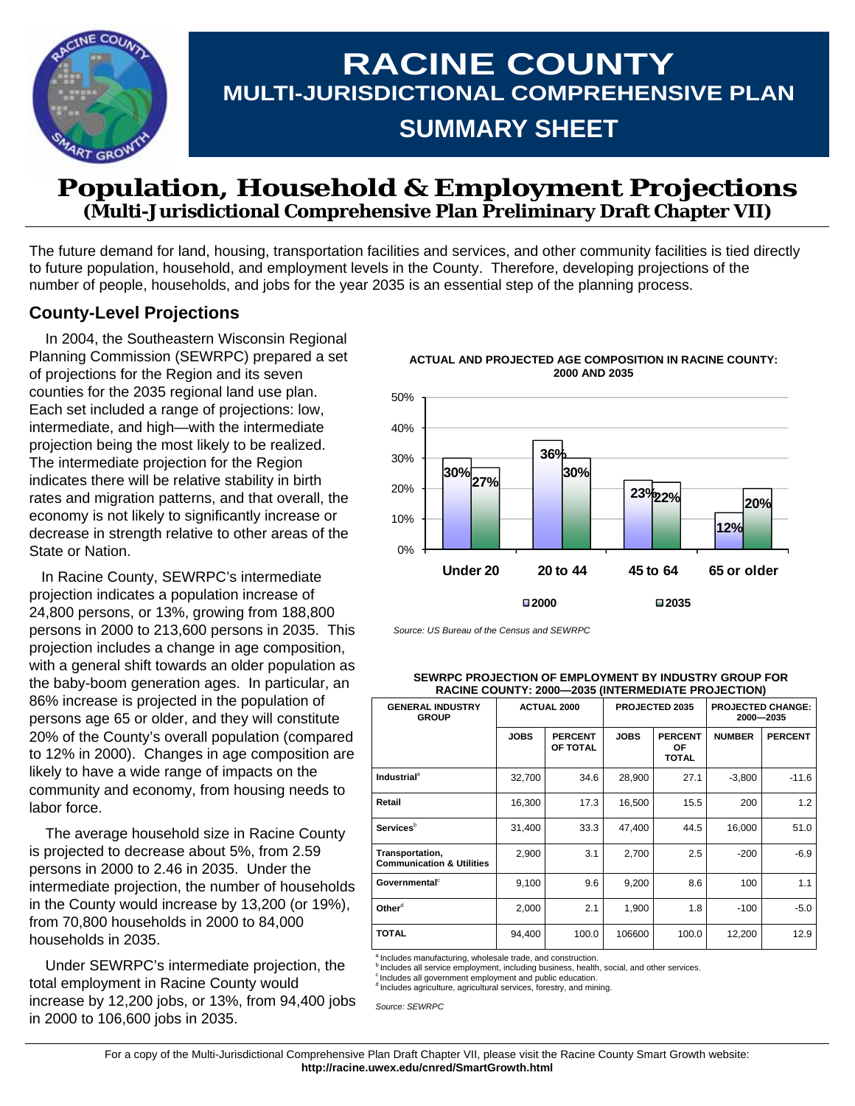

# **RACINE COUNTY MULTI-JURISDICTIONAL COMPREHENSIVE PLAN SUMMARY SHEET**

## **Population, Household & Employment Projections (Multi-Jurisdictional Comprehensive Plan Preliminary Draft Chapter VII)**

The future demand for land, housing, transportation facilities and services, and other community facilities is tied directly to future population, household, and employment levels in the County. Therefore, developing projections of the number of people, households, and jobs for the year 2035 is an essential step of the planning process.

### **County-Level Projections**

 In 2004, the Southeastern Wisconsin Regional Planning Commission (SEWRPC) prepared a set of projections for the Region and its seven counties for the 2035 regional land use plan. Each set included a range of projections: low, intermediate, and high—with the intermediate projection being the most likely to be realized. The intermediate projection for the Region indicates there will be relative stability in birth rates and migration patterns, and that overall, the economy is not likely to significantly increase or decrease in strength relative to other areas of the State or Nation.

 In Racine County, SEWRPC's intermediate projection indicates a population increase of 24,800 persons, or 13%, growing from 188,800 persons in 2000 to 213,600 persons in 2035. This projection includes a change in age composition, with a general shift towards an older population as the baby-boom generation ages. In particular, an 86% increase is projected in the population of persons age 65 or older, and they will constitute 20% of the County's overall population (compared to 12% in 2000). Changes in age composition are likely to have a wide range of impacts on the community and economy, from housing needs to labor force.

 The average household size in Racine County is projected to decrease about 5%, from 2.59 persons in 2000 to 2.46 in 2035. Under the intermediate projection, the number of households in the County would increase by 13,200 (or 19%), from 70,800 households in 2000 to 84,000 households in 2035.

 Under SEWRPC's intermediate projection, the total employment in Racine County would increase by 12,200 jobs, or 13%, from 94,400 jobs in 2000 to 106,600 jobs in 2035.



**ACTUAL AND PROJECTED AGE COMPOSITION IN RACINE COUNTY: 2000 AND 2035** 

*Source: US Bureau of the Census and SEWRPC* 

**SEWRPC PROJECTION OF EMPLOYMENT BY INDUSTRY GROUP FOR RACINE COUNTY: 2000—2035 (INTERMEDIATE PROJECTION)** 

| <b>GENERAL INDUSTRY</b><br><b>GROUP</b>                 |             | <b>ACTUAL 2000</b>         |             | PROJECTED 2035                       | <b>PROJECTED CHANGE:</b><br>2000-2035 |                |  |
|---------------------------------------------------------|-------------|----------------------------|-------------|--------------------------------------|---------------------------------------|----------------|--|
|                                                         | <b>JOBS</b> | <b>PERCENT</b><br>OF TOTAL | <b>JOBS</b> | <b>PERCENT</b><br>OF<br><b>TOTAL</b> | <b>NUMBER</b>                         | <b>PERCENT</b> |  |
| <b>Industrial</b> <sup>a</sup>                          | 32,700      | 34.6                       | 28,900      | 27.1                                 | $-3,800$                              | $-11.6$        |  |
| Retail                                                  | 16,300      | 17.3                       | 16,500      | 15.5                                 | 200                                   | 1.2            |  |
| <b>Services</b> <sup>b</sup>                            | 31,400      | 33.3                       | 47,400      | 44.5                                 | 16,000                                | 51.0           |  |
| Transportation,<br><b>Communication &amp; Utilities</b> | 2,900       | 3.1                        | 2,700       | 2.5                                  | $-200$                                | $-6.9$         |  |
| Governmental <sup>c</sup>                               | 9,100       | 9.6                        | 9,200       | 8.6                                  | 100                                   | 1.1            |  |
| Other <sup>d</sup>                                      | 2,000       | 2.1                        | 1,900       | 1.8                                  | $-100$                                | $-5.0$         |  |
| <b>TOTAL</b>                                            | 94,400      | 100.0                      | 106600      | 100.0                                | 12,200                                | 12.9           |  |

a Includes manufacturing, wholesale trade, and construction.

<sup>b</sup> Includes all service employment, including business, health, social, and other services.<br><sup>c</sup> Includes all government employment and public education.

<sup>d</sup> Includes agriculture, agricultural services, forestry, and mining.

*Source: SEWRPC*